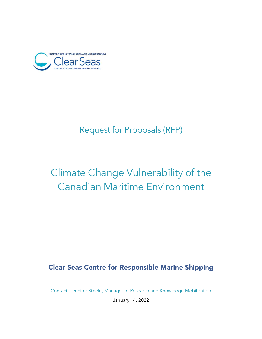

# Request for Proposals (RFP)

# Climate Change Vulnerability of the Canadian Maritime Environment

# Clear Seas Centre for Responsible Marine Shipping

Contact: Jennifer Steele, Manager of Research and Knowledge Mobilization

January 14, 2022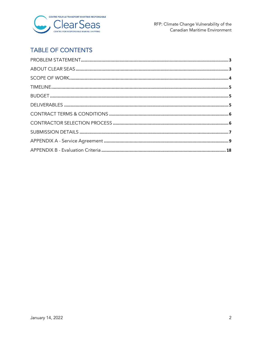

# **TABLE OF CONTENTS**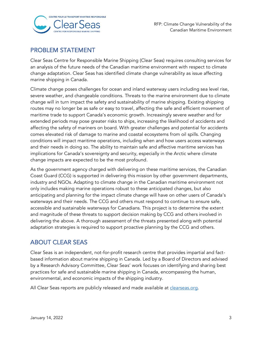

# <span id="page-2-0"></span>PROBLEM STATEMENT

Clear Seas Centre for Responsible Marine Shipping (Clear Seas) requires consulting services for an analysis of the future needs of the Canadian maritime environment with respect to climate change adaptation. Clear Seas has identified climate change vulnerability as issue affecting marine shipping in Canada.

Climate change poses challenges for ocean and inland waterway users including sea level rise, severe weather, and changeable conditions. Threats to the marine environment due to climate change will in turn impact the safety and sustainability of marine shipping. Existing shipping routes may no longer be as safe or easy to travel, affecting the safe and efficient movement of maritime trade to support Canada's economic growth. Increasingly severe weather and for extended periods may pose greater risks to ships, increasing the likelihood of accidents and affecting the safety of mariners on board. With greater challenges and potential for accidents comes elevated risk of damage to marine and coastal ecosystems from oil spills. Changing conditions will impact maritime operations, including when and how users access waterways and their needs in doing so. The ability to maintain safe and affective maritime services has implications for Canada's sovereignty and security, especially in the Arctic where climate change impacts are expected to be the most profound.

As the government agency charged with delivering on these maritime services, the Canadian Coast Guard (CCG) is supported in delivering this mission by other government departments, industry and NGOs. Adapting to climate change in the Canadian maritime environment not only includes making marine operations robust to these anticipated changes, but also anticipating and planning for the impact climate change will have on other users of Canada's waterways and their needs. The CCG and others must respond to continue to ensure safe, accessible and sustainable waterways for Canadians. This project is to determine the extent and magnitude of these threats to support decision making by CCG and others involved in delivering the above. A thorough assessment of the threats presented along with potential adaptation strategies is required to support proactive planning by the CCG and others.

# <span id="page-2-1"></span>ABOUT CLEAR SEAS

Clear Seas is an independent, not-for-profit research centre that provides impartial and factbased information about marine shipping in Canada. Led by a Board of Directors and advised by a Research Advisory Committee, Clear Seas' work focuses on identifying and sharing best practices for safe and sustainable marine shipping in Canada, encompassing the human, environmental, and economic impacts of the shipping industry.

All Clear Seas reports are publicly released and made available at [clearseas.org.](https://clearseas.org/en/)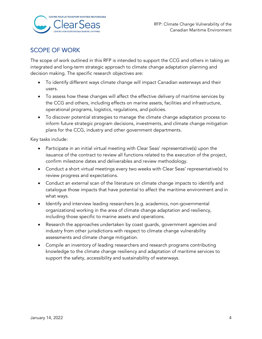

# <span id="page-3-0"></span>SCOPE OF WORK

The scope of work outlined in this RFP is intended to support the CCG and others in taking an integrated and long-term strategic approach to climate change adaptation planning and decision making. The specific research objectives are:

- To identify different ways climate change will impact Canadian waterways and their users.
- To assess how these changes will affect the effective delivery of maritime services by the CCG and others, including effects on marine assets, facilities and infrastructure, operational programs, logistics, regulations, and policies.
- To discover potential strategies to manage the climate change adaptation process to inform future strategic program decisions, investments, and climate change mitigation plans for the CCG, industry and other government departments.

Key tasks include:

- Participate in an initial virtual meeting with Clear Seas' representative(s) upon the issuance of the contract to review all functions related to the execution of the project, confirm milestone dates and deliverables and review methodology.
- Conduct a short virtual meetings every two weeks with Clear Seas' representative(s) to review progress and expectations.
- Conduct an external scan of the literature on climate change impacts to identify and catalogue those impacts that have potential to affect the maritime environment and in what ways.
- Identify and interview leading researchers (e.g. academics, non-governmental organizations) working in the area of climate change adaptation and resiliency, including those specific to marine assets and operations.
- Research the approaches undertaken by coast guards, government agencies and industry from other jurisdictions with respect to climate change vulnerability assessments and climate change mitigation.
- <span id="page-3-1"></span>• Compile an inventory of leading researchers and research programs contributing knowledge to the climate change resiliency and adaptation of maritime services to support the safety, accessibility and sustainability of waterways.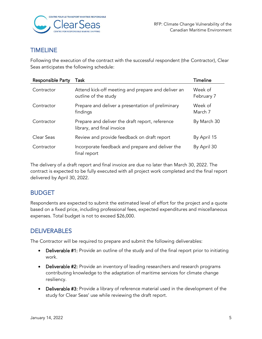

## TIMELINE

Following the execution of the contract with the successful respondent (the Contractor), Clear Seas anticipates the following schedule:

| Responsible Party | Task                                                                          | <b>Timeline</b>       |
|-------------------|-------------------------------------------------------------------------------|-----------------------|
| Contractor        | Attend kick-off meeting and prepare and deliver an<br>outline of the study    | Week of<br>February 7 |
| Contractor        | Prepare and deliver a presentation of preliminary<br>findings                 | Week of<br>March 7    |
| Contractor        | Prepare and deliver the draft report, reference<br>library, and final invoice | By March 30           |
| Clear Seas        | Review and provide feedback on draft report                                   | By April 15           |
| Contractor        | Incorporate feedback and prepare and deliver the<br>final report              | By April 30           |

The delivery of a draft report and final invoice are due no later than March 30, 2022. The contract is expected to be fully executed with all project work completed and the final report delivered by April 30, 2022.

# <span id="page-4-0"></span>BUDGET

Respondents are expected to submit the estimated level of effort for the project and a quote based on a fixed price, including professional fees, expected expenditures and miscellaneous expenses. Total budget is not to exceed \$26,000.

### <span id="page-4-1"></span>DELIVERABLES

The Contractor will be required to prepare and submit the following deliverables:

- Deliverable #1: Provide an outline of the study and of the final report prior to initiating work.
- Deliverable #2: Provide an inventory of leading researchers and research programs contributing knowledge to the adaptation of maritime services for climate change resiliency.
- Deliverable #3: Provide a library of reference material used in the development of the study for Clear Seas' use while reviewing the draft report.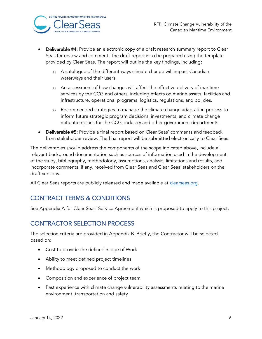

RFP: Climate Change Vulnerability of the Canadian Maritime Environment

- Deliverable #4: Provide an electronic copy of a draft research summary report to Clear Seas for review and comment. The draft report is to be prepared using the template provided by Clear Seas. The report will outline the key findings, including:
	- o A catalogue of the different ways climate change will impact Canadian waterways and their users.
	- o An assessment of how changes will affect the effective delivery of maritime services by the CCG and others, including effects on marine assets, facilities and infrastructure, operational programs, logistics, regulations, and policies.
	- o Recommended strategies to manage the climate change adaptation process to inform future strategic program decisions, investments, and climate change mitigation plans for the CCG, industry and other government departments.
- Deliverable #5: Provide a final report based on Clear Seas' comments and feedback from stakeholder review. The final report will be submitted electronically to Clear Seas.

The deliverables should address the components of the scope indicated above, include all relevant background documentation such as sources of information used in the development of the study, bibliography, methodology, assumptions, analysis, limitations and results, and incorporate comments, if any, received from Clear Seas and Clear Seas' stakeholders on the draft versions.

<span id="page-5-0"></span>All Clear Seas reports are publicly released and made available at [clearseas.org.](https://clearseas.org/en/)

# CONTRACT TERMS & CONDITIONS

<span id="page-5-1"></span>See Appendix A for Clear Seas' Service Agreement which is proposed to apply to this project.

# CONTRACTOR SELECTION PROCESS

The selection criteria are provided in Appendix B. Briefly, the Contractor will be selected based on:

- Cost to provide the defined Scope of Work
- Ability to meet defined project timelines
- Methodology proposed to conduct the work
- Composition and experience of project team
- Past experience with climate change vulnerability assessments relating to the marine environment, transportation and safety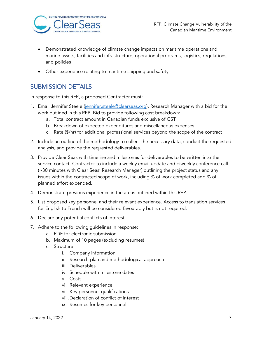

- Demonstrated knowledge of climate change impacts on maritime operations and marine assets, facilities and infrastructure, operational programs, logistics, regulations, and policies
- Other experience relating to maritime shipping and safety

# <span id="page-6-0"></span>SUBMISSION DETAILS

In response to this RFP, a proposed Contractor must:

- 1. Email Jennifer Steele [\(jennifer.steele@clearseas.org\)](mailto:jennifer.steele@clearseas.org), Research Manager with a bid for the work outlined in this RFP. Bid to provide following cost breakdown:
	- a. Total contract amount in Canadian funds exclusive of GST
	- b. Breakdown of expected expenditures and miscellaneous expenses
	- c. Rate (\$/hr) for additional professional services beyond the scope of the contract
- 2. Include an outline of the methodology to collect the necessary data, conduct the requested analysis, and provide the requested deliverables.
- 3. Provide Clear Seas with timeline and milestones for deliverables to be written into the service contact. Contractor to include a weekly email update and biweekly conference call (~30 minutes with Clear Seas' Research Manager) outlining the project status and any issues within the contracted scope of work, including % of work completed and % of planned effort expended.
- 4. Demonstrate previous experience in the areas outlined within this RFP.
- 5. List proposed key personnel and their relevant experience. Access to translation services for English to French will be considered favourably but is not required.
- 6. Declare any potential conflicts of interest.
- 7. Adhere to the following guidelines in response:
	- a. PDF for electronic submission
	- b. Maximum of 10 pages (excluding resumes)
	- c. Structure:
		- i. Company information
		- ii. Research plan and methodological approach
		- iii. Deliverables
		- iv. Schedule with milestone dates
		- v. Costs
		- vi. Relevant experience
		- vii. Key personnel qualifications
		- viii.Declaration of conflict of interest
		- ix. Resumes for key personnel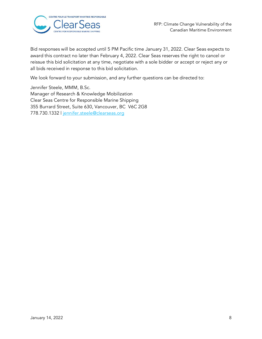

Bid responses will be accepted until 5 PM Pacific time January 31, 2022. Clear Seas expects to award this contract no later than February 4, 2022. Clear Seas reserves the right to cancel or reissue this bid solicitation at any time, negotiate with a sole bidder or accept or reject any or all bids received in response to this bid solicitation.

We look forward to your submission, and any further questions can be directed to:

Jennifer Steele, MMM, B.Sc. Manager of Research & Knowledge Mobilization Clear Seas Centre for Responsible Marine Shipping 355 Burrard Street, Suite 630, Vancouver, BC V6C 2G8 778.730.1332 | jennifer.steele@clearseas.org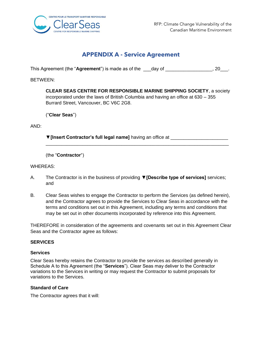

## **APPENDIX A - Service Agreement**

<span id="page-8-0"></span>This Agreement (the "**Agreement**") is made as of the \_\_\_day of \_\_\_\_\_\_\_\_\_\_\_\_\_\_\_\_\_\_, 20\_\_\_.

BETWEEN:

**CLEAR SEAS CENTRE FOR RESPONSIBLE MARINE SHIPPING SOCIETY**, a society incorporated under the laws of British Columbia and having an office at 630 – 355 Burrard Street, Vancouver, BC V6C 2G8.

("**Clear Seas**")

AND:

**▼[Insert Contractor's full legal name]** having an office at \_\_\_\_\_\_\_\_\_\_\_\_\_\_\_\_\_\_\_\_\_\_ \_\_\_\_\_\_\_\_\_\_\_\_\_\_\_\_\_\_\_\_\_\_\_\_\_\_\_\_\_\_\_\_\_\_\_\_\_\_\_\_\_\_\_\_\_\_\_\_\_\_\_\_\_\_\_\_\_\_\_\_\_\_\_\_\_\_\_\_\_\_

(the "**Contractor**")

WHEREAS:

- A. The Contractor is in the business of providing **▼[Describe type of services]** services; and
- B. Clear Seas wishes to engage the Contractor to perform the Services (as defined herein), and the Contractor agrees to provide the Services to Clear Seas in accordance with the terms and conditions set out in this Agreement, including any terms and conditions that may be set out in other documents incorporated by reference into this Agreement.

THEREFORE in consideration of the agreements and covenants set out in this Agreement Clear Seas and the Contractor agree as follows:

#### **SERVICES**

#### **Services**

Clear Seas hereby retains the Contractor to provide the services as described generally in Schedule A to this Agreement (the "**Services**"). Clear Seas may deliver to the Contractor variations to the Services in writing or may request the Contractor to submit proposals for variations to the Services.

#### **Standard of Care**

The Contractor agrees that it will: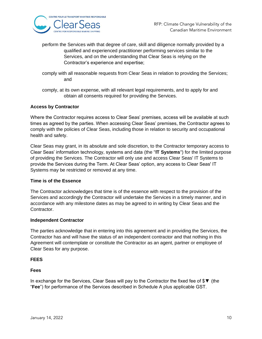

perform the Services with that degree of care, skill and diligence normally provided by a qualified and experienced practitioner performing services similar to the Services, and on the understanding that Clear Seas is relying on the Contractor's experience and expertise;

- comply with all reasonable requests from Clear Seas in relation to providing the Services; and
- comply, at its own expense, with all relevant legal requirements, and to apply for and obtain all consents required for providing the Services.

#### **Access by Contractor**

Where the Contractor requires access to Clear Seas' premises, access will be available at such times as agreed by the parties. When accessing Clear Seas' premises, the Contractor agrees to comply with the policies of Clear Seas, including those in relation to security and occupational health and safety.

Clear Seas may grant, in its absolute and sole discretion, to the Contractor temporary access to Clear Seas' information technology, systems and data (the "**IT Systems**") for the limited purpose of providing the Services. The Contractor will only use and access Clear Seas' IT Systems to provide the Services during the Term. At Clear Seas' option, any access to Clear Seas' IT Systems may be restricted or removed at any time.

#### **Time is of the Essence**

The Contractor acknowledges that time is of the essence with respect to the provision of the Services and accordingly the Contractor will undertake the Services in a timely manner, and in accordance with any milestone dates as may be agreed to in writing by Clear Seas and the Contractor.

#### **Independent Contractor**

The parties acknowledge that in entering into this agreement and in providing the Services, the Contractor has and will have the status of an independent contractor and that nothing in this Agreement will contemplate or constitute the Contractor as an agent, partner or employee of Clear Seas for any purpose.

#### **FEES**

#### **Fees**

In exchange for the Services, Clear Seas will pay to the Contractor the fixed fee of \$▼ (the "**Fee**") for performance of the Services described in Schedule A plus applicable GST.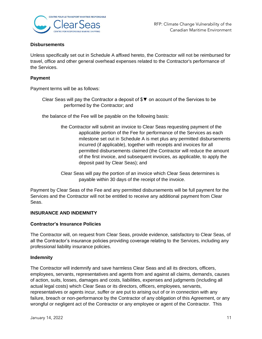

#### **Disbursements**

Unless specifically set out in Schedule A affixed hereto, the Contractor will not be reimbursed for travel, office and other general overhead expenses related to the Contractor's performance of the Services.

#### **Payment**

Payment terms will be as follows:

Clear Seas will pay the Contractor a deposit of \$▼ on account of the Services to be performed by the Contractor; and

the balance of the Fee will be payable on the following basis:

- the Contractor will submit an invoice to Clear Seas requesting payment of the applicable portion of the Fee for performance of the Services as each milestone set out in Schedule A is met plus any permitted disbursements incurred (if applicable), together with receipts and invoices for all permitted disbursements claimed (the Contractor will reduce the amount of the first invoice, and subsequent invoices, as applicable, to apply the deposit paid by Clear Seas); and
- Clear Seas will pay the portion of an invoice which Clear Seas determines is payable within 30 days of the receipt of the invoice.

Payment by Clear Seas of the Fee and any permitted disbursements will be full payment for the Services and the Contractor will not be entitled to receive any additional payment from Clear Seas.

#### **INSURANCE AND INDEMNITY**

#### **Contractor's Insurance Policies**

The Contractor will, on request from Clear Seas, provide evidence, satisfactory to Clear Seas, of all the Contractor's insurance policies providing coverage relating to the Services, including any professional liability insurance policies.

#### **Indemnity**

The Contractor will indemnify and save harmless Clear Seas and all its directors, officers, employees, servants, representatives and agents from and against all claims, demands, causes of action, suits, losses, damages and costs, liabilities, expenses and judgments (including all actual legal costs) which Clear Seas or its directors, officers, employees, servants, representatives or agents incur, suffer or are put to arising out of or in connection with any failure, breach or non-performance by the Contractor of any obligation of this Agreement, or any wrongful or negligent act of the Contractor or any employee or agent of the Contractor. This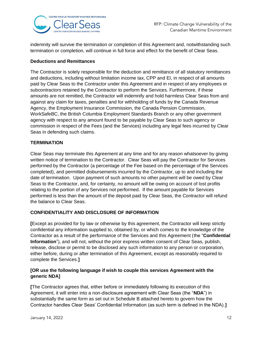

indemnity will survive the termination or completion of this Agreement and, notwithstanding such termination or completion, will continue in full force and effect for the benefit of Clear Seas.

#### **Deductions and Remittances**

The Contractor is solely responsible for the deduction and remittance of all statutory remittances and deductions, including without limitation income tax, CPP and EI, in respect of all amounts paid by Clear Seas to the Contractor under this Agreement and in respect of any employees or subcontractors retained by the Contractor to perform the Services. Furthermore, if these amounts are not remitted, the Contractor will indemnify and hold harmless Clear Seas from and against any claim for taxes, penalties and for withholding of funds by the Canada Revenue Agency, the Employment Insurance Commission, the Canada Pension Commission, WorkSafeBC, the British Columbia Employment Standards Branch or any other government agency with respect to any amount found to be payable by Clear Seas to such agency or commission in respect of the Fees (and the Services) including any legal fees incurred by Clear Seas in defending such claims.

#### **TERMINATION**

Clear Seas may terminate this Agreement at any time and for any reason whatsoever by giving written notice of termination to the Contractor. Clear Seas will pay the Contractor for Services performed by the Contractor (a percentage of the Fee based on the percentage of the Services completed), and permitted disbursements incurred by the Contractor, up to and including the date of termination. Upon payment of such amounts no other payment will be owed by Clear Seas to the Contractor, and, for certainty, no amount will be owing on account of lost profits relating to the portion of any Services not performed. If the amount payable for Services performed is less than the amount of the deposit paid by Clear Seas, the Contractor will refund the balance to Clear Seas.

#### **CONFIDENTIALITY AND DISCLOSURE OF INFORMATION**

**[**Except as provided for by law or otherwise by this agreement, the Contractor will keep strictly confidential any information supplied to, obtained by, or which comes to the knowledge of the Contractor as a result of the performance of the Services and this Agreement (the "**Confidential Information**"), and will not, without the prior express written consent of Clear Seas, publish, release, disclose or permit to be disclosed any such information to any person or corporation, either before, during or after termination of this Agreement, except as reasonably required to complete the Services.**]**

#### **[OR use the following language if wish to couple this services Agreement with the generic NDA]**

**[**The Contractor agrees that, either before or immediately following its execution of this Agreement, it will enter into a non-disclosure agreement with Clear Seas (the "**NDA**") in substantially the same form as set out in Schedule B attached hereto to govern how the Contractor handles Clear Seas' Confidential Information (as such term is defined in the NDA).**]**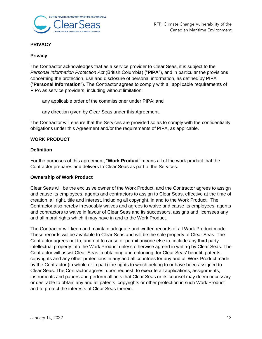

#### **PRIVACY**

#### **Privacy**

The Contractor acknowledges that as a service provider to Clear Seas, it is subject to the *Personal Information Protection Act* (British Columbia) ("**PIPA**"), and in particular the provisions concerning the protection, use and disclosure of personal information, as defined by PIPA ("**Personal Information**"). The Contractor agrees to comply with all applicable requirements of PIPA as service providers, including without limitation:

any applicable order of the commissioner under PIPA; and

any direction given by Clear Seas under this Agreement.

The Contractor will ensure that the Services are provided so as to comply with the confidentiality obligations under this Agreement and/or the requirements of PIPA, as applicable.

#### **WORK PRODUCT**

#### **Definition**

For the purposes of this agreement, "**Work Product**" means all of the work product that the Contractor prepares and delivers to Clear Seas as part of the Services.

#### **Ownership of Work Product**

Clear Seas will be the exclusive owner of the Work Product, and the Contractor agrees to assign and cause its employees, agents and contractors to assign to Clear Seas, effective at the time of creation, all right, title and interest, including all copyright, in and to the Work Product. The Contractor also hereby irrevocably waives and agrees to waive and cause its employees, agents and contractors to waive in favour of Clear Seas and its successors, assigns and licensees any and all moral rights which it may have in and to the Work Product.

The Contractor will keep and maintain adequate and written records of all Work Product made. These records will be available to Clear Seas and will be the sole property of Clear Seas. The Contractor agrees not to, and not to cause or permit anyone else to, include any third party intellectual property into the Work Product unless otherwise agreed in writing by Clear Seas. The Contractor will assist Clear Seas in obtaining and enforcing, for Clear Seas' benefit, patents, copyrights and any other protections in any and all countries for any and all Work Product made by the Contractor (in whole or in part) the rights to which belong to or have been assigned to Clear Seas. The Contractor agrees, upon request, to execute all applications, assignments, instruments and papers and perform all acts that Clear Seas or its counsel may deem necessary or desirable to obtain any and all patents, copyrights or other protection in such Work Product and to protect the interests of Clear Seas therein.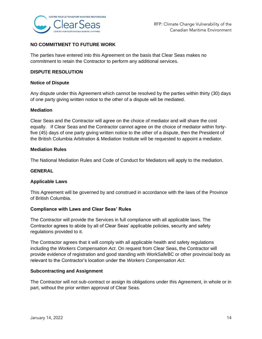

#### **NO COMMITMENT TO FUTURE WORK**

The parties have entered into this Agreement on the basis that Clear Seas makes no commitment to retain the Contractor to perform any additional services.

#### **DISPUTE RESOLUTION**

#### **Notice of Dispute**

Any dispute under this Agreement which cannot be resolved by the parties within thirty (30) days of one party giving written notice to the other of a dispute will be mediated.

#### **Mediation**

Clear Seas and the Contractor will agree on the choice of mediator and will share the cost equally. If Clear Seas and the Contractor cannot agree on the choice of mediator within fortyfive (45) days of one party giving written notice to the other of a dispute, then the President of the British Columbia Arbitration & Mediation Institute will be requested to appoint a mediator.

#### **Mediation Rules**

The National Mediation Rules and Code of Conduct for Mediators will apply to the mediation.

#### **GENERAL**

#### **Applicable Laws**

This Agreement will be governed by and construed in accordance with the laws of the Province of British Columbia.

#### **Compliance with Laws and Clear Seas' Rules**

The Contractor will provide the Services in full compliance with all applicable laws. The Contractor agrees to abide by all of Clear Seas' applicable policies, security and safety regulations provided to it.

The Contractor agrees that it will comply with all applicable health and safety regulations including the *Workers Compensation Act*. On request from Clear Seas, the Contractor will provide evidence of registration and good standing with WorkSafeBC or other provincial body as relevant to the Contractor's location under the *Workers Compensation Act*.

#### **Subcontracting and Assignment**

The Contractor will not sub-contract or assign its obligations under this Agreement, in whole or in part, without the prior written approval of Clear Seas.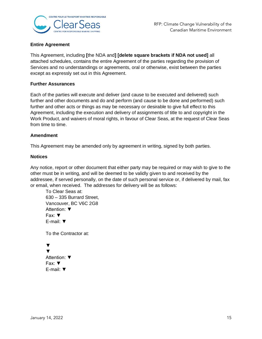

#### **Entire Agreement**

This Agreement, including **[**the NDA and**] [delete square brackets if NDA not used]** all attached schedules, contains the entire Agreement of the parties regarding the provision of Services and no understandings or agreements, oral or otherwise, exist between the parties except as expressly set out in this Agreement.

#### **Further Assurances**

Each of the parties will execute and deliver (and cause to be executed and delivered) such further and other documents and do and perform (and cause to be done and performed) such further and other acts or things as may be necessary or desirable to give full effect to this Agreement, including the execution and delivery of assignments of title to and copyright in the Work Product, and waivers of moral rights, in favour of Clear Seas, at the request of Clear Seas from time to time.

#### **Amendment**

This Agreement may be amended only by agreement in writing, signed by both parties.

#### **Notices**

Any notice, report or other document that either party may be required or may wish to give to the other must be in writing, and will be deemed to be validly given to and received by the addressee, if served personally, on the date of such personal service or, if delivered by mail, fax or email, when received. The addresses for delivery will be as follows:

To Clear Seas at: 630 – 335 Burrard Street, Vancouver, BC V6C 2G8 Attention: ▼ Fax: ▼ E-mail: ▼

To the Contractor at:

```
▼
▼
Attention: ▼
Fax: ▼
E-mail: ▼
```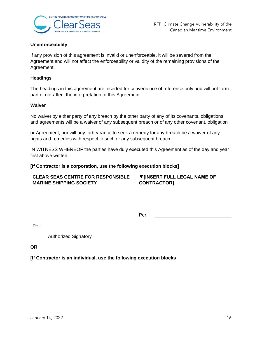

#### **Unenforceability**

If any provision of this agreement is invalid or unenforceable, it will be severed from the Agreement and will not affect the enforceability or validity of the remaining provisions of the Agreement.

#### **Headings**

The headings in this agreement are inserted for convenience of reference only and will not form part of nor affect the interpretation of this Agreement.

#### **Waiver**

No waiver by either party of any breach by the other party of any of its covenants, obligations and agreements will be a waiver of any subsequent breach or of any other covenant, obligation

or Agreement, nor will any forbearance to seek a remedy for any breach be a waiver of any rights and remedies with respect to such or any subsequent breach.

IN WITNESS WHEREOF the parties have duly executed this Agreement as of the day and year first above written.

#### **[If Contractor is a corporation, use the following execution blocks]**

#### **CLEAR SEAS CENTRE FOR RESPONSIBLE MARINE SHIPPING SOCIETY ▼[INSERT FULL LEGAL NAME OF CONTRACTOR]**

Per:

Per:

Authorized Signatory

**OR** 

**[If Contractor is an individual, use the following execution blocks**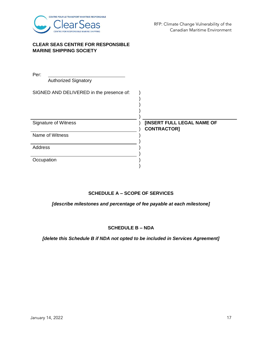

#### **CLEAR SEAS CENTRE FOR RESPONSIBLE MARINE SHIPPING SOCIETY**

| Per:                                     |                                                         |
|------------------------------------------|---------------------------------------------------------|
| <b>Authorized Signatory</b>              |                                                         |
| SIGNED AND DELIVERED in the presence of: |                                                         |
| Signature of Witness                     | <b>[INSERT FULL LEGAL NAME OF</b><br><b>CONTRACTOR]</b> |
| Name of Witness                          |                                                         |
| Address                                  |                                                         |
| Occupation                               |                                                         |

#### **SCHEDULE A – SCOPE OF SERVICES**

*[describe milestones and percentage of fee payable at each milestone]*

#### **SCHEDULE B – NDA**

*[delete this Schedule B if NDA not opted to be included in Services Agreement]*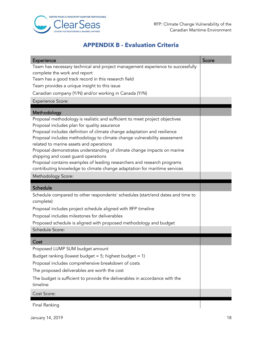

# **APPENDIX B - Evaluation Criteria**

<span id="page-17-0"></span>

| Experience                                                                                                                                           | Score |
|------------------------------------------------------------------------------------------------------------------------------------------------------|-------|
| Team has necessary technical and project management experience to successfully                                                                       |       |
| complete the work and report<br>Team has a good track record in this research field                                                                  |       |
| Team provides a unique insight to this issue                                                                                                         |       |
| Canadian company (Y/N) and/or working in Canada (Y/N)                                                                                                |       |
| <b>Experience Score:</b>                                                                                                                             |       |
|                                                                                                                                                      |       |
| Methodology                                                                                                                                          |       |
| Proposal methodology is realistic and sufficient to meet project objectives                                                                          |       |
| Proposal includes plan for quality assurance                                                                                                         |       |
| Proposal includes definition of climate change adaptation and resilience<br>Proposal includes methodology to climate change vulnerability assessment |       |
| related to marine assets and operations                                                                                                              |       |
| Proposal demonstrates understanding of climate change impacts on marine                                                                              |       |
| shipping and coast guard operations                                                                                                                  |       |
| Proposal contains examples of leading researchers and research programs                                                                              |       |
| contributing knowledge to climate change adaptation for maritime services                                                                            |       |
| Methodology Score:                                                                                                                                   |       |
|                                                                                                                                                      |       |
| Schedule                                                                                                                                             |       |
| Schedule compared to other respondents' schedules (start/end dates and time to<br>complete)                                                          |       |
| Proposal includes project schedule aligned with RFP timeline                                                                                         |       |
| Proposal includes milestones for deliverables                                                                                                        |       |
| Proposed schedule is aligned with proposed methodology and budget                                                                                    |       |
| Schedule Score:                                                                                                                                      |       |
|                                                                                                                                                      |       |
| Cost                                                                                                                                                 |       |
| Proposed LUMP SUM budget amount                                                                                                                      |       |
| Budget ranking (lowest budget = $5$ ; highest budget = 1)                                                                                            |       |
| Proposal includes comprehensive breakdown of costs                                                                                                   |       |
| The proposed deliverables are worth the cost                                                                                                         |       |
| The budget is sufficient to provide the deliverables in accordance with the<br>timeline                                                              |       |
| Cost Score:                                                                                                                                          |       |

Final Ranking